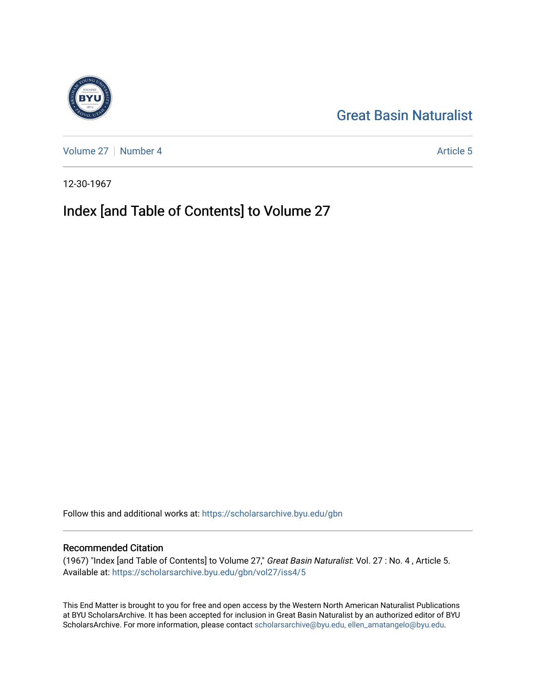## [Great Basin Naturalist](https://scholarsarchive.byu.edu/gbn)

[Volume 27](https://scholarsarchive.byu.edu/gbn/vol27) | [Number 4](https://scholarsarchive.byu.edu/gbn/vol27/iss4) Article 5

12-30-1967

# Index [and Table of Contents] to Volume 27

Follow this and additional works at: [https://scholarsarchive.byu.edu/gbn](https://scholarsarchive.byu.edu/gbn?utm_source=scholarsarchive.byu.edu%2Fgbn%2Fvol27%2Fiss4%2F5&utm_medium=PDF&utm_campaign=PDFCoverPages) 

#### Recommended Citation

(1967) "Index [and Table of Contents] to Volume 27," Great Basin Naturalist: Vol. 27 : No. 4 , Article 5. Available at: [https://scholarsarchive.byu.edu/gbn/vol27/iss4/5](https://scholarsarchive.byu.edu/gbn/vol27/iss4/5?utm_source=scholarsarchive.byu.edu%2Fgbn%2Fvol27%2Fiss4%2F5&utm_medium=PDF&utm_campaign=PDFCoverPages)

This End Matter is brought to you for free and open access by the Western North American Naturalist Publications at BYU ScholarsArchive. It has been accepted for inclusion in Great Basin Naturalist by an authorized editor of BYU ScholarsArchive. For more information, please contact [scholarsarchive@byu.edu, ellen\\_amatangelo@byu.edu.](mailto:scholarsarchive@byu.edu,%20ellen_amatangelo@byu.edu)

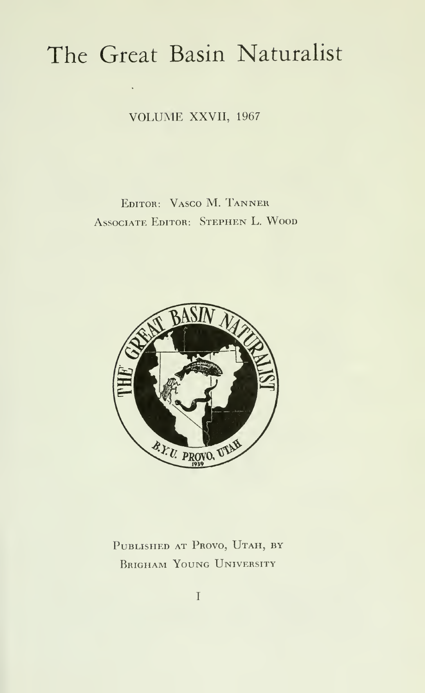# The Great Basin Naturalist

VOLUME XXVII, <sup>1967</sup>

## Editor: Vasco M. Tanner Associate Editor: Stephen L. Wood



PUBLISHED AT PROVO, UTAH, BY BRIGHAM YOUNG UNIVERSITY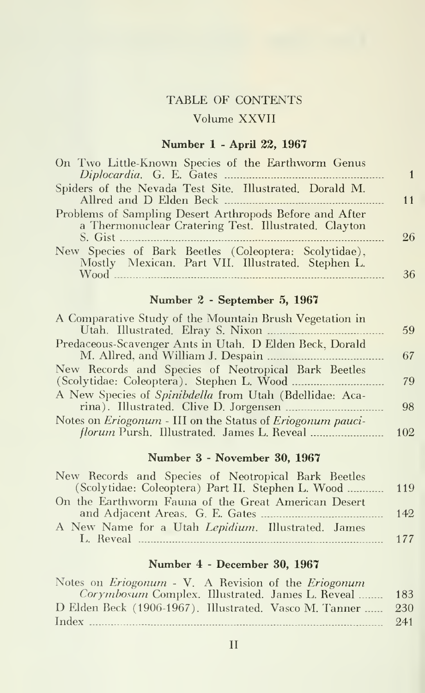#### TABLE OF CONTENTS

#### Volume XXVII

#### Number 1 - April 22, 1967

| On Two Little-Known Species of the Earthworm Genus                                                              |    |
|-----------------------------------------------------------------------------------------------------------------|----|
| Spiders of the Nevada Test Site. Illustrated. Dorald M.                                                         | 11 |
| Problems of Sampling Desert Arthropods Before and After<br>a Thermonuclear Cratering Test. Illustrated. Clayton | 26 |
| New Species of Bark Beetles (Coleoptera: Scolytidae),<br>Mostly Mexican. Part VII. Illustrated. Stephen L.      |    |
|                                                                                                                 | 36 |

#### Number 2 - September 5, 1967

| A Comparative Study of the Mountain Brush Vegetation in                   |     |
|---------------------------------------------------------------------------|-----|
|                                                                           | 59  |
| Predaceous-Scavenger Ants in Utah. D Elden Beck, Dorald                   |     |
|                                                                           | -67 |
| New Records and Species of Neotropical Bark Beetles                       |     |
|                                                                           | 79  |
| A New Species of Spinibdella from Utah (Bdellidae: Aca-                   |     |
|                                                                           | 98  |
| Notes on <i>Eriogonum</i> - III on the Status of <i>Eriogonum pauci</i> - |     |
|                                                                           | 102 |
|                                                                           |     |

### Number 3 - November 30, 1967

| New Records and Species of Neotropical Bark Beetles    |     |
|--------------------------------------------------------|-----|
| (Scolytidae: Coleoptera) Part II. Stephen L. Wood  119 |     |
| On the Earthworm Fauna of the Great American Desert    |     |
|                                                        | 142 |
| A New Name for a Utah Lepidium. Illustrated. James     |     |
|                                                        |     |

#### Number 4 - December 30, 1967

| Corymbosum Complex. Illustrated. James L. Reveal<br>183        |
|----------------------------------------------------------------|
| D Elden Beck (1906-1967). Illustrated. Vasco M. Tanner<br>-230 |
| 241                                                            |
|                                                                |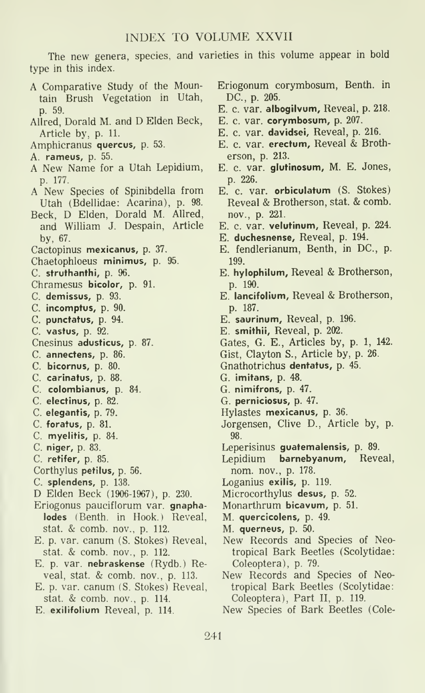#### INDEX TO VOLUME XXVII

The new genera, species, and varieties in this volume appear in bold type in this index.

- A Comparative Study of the Mountain Brush Vegetation in Utah, p. 59.
- Allred, Dorald M. and D Elden Beck, Article by, p. 11.
- Amphicranus quercus, p. 53.
- A. rameus, p. 55.
- A New Name for a Utah Lepidium, p. 177.
- A New Species of Spinibdella from Utah (Bdellidae: Acarina), p. 98.
- Beck, D Elden, Dorald M. Allred, and William J. Despain, Article by, 67.
- Cactopinus mexicanus, p. 37.
- Chaetophloeus minimus, p. 95.
- C. struthanthi, p. 96.
- Chramesus bicolor, p. 91.
- C. demissus, p. 93.
- C. incomptus, p. 90.
- C. punctatus, p. 94.
- C. vastus, p. 92.
- Cnesinus adusticus, p. 87.
- C. annectens, p. 86.
- C. bicornus, p. 80.
- C. carinatus, p. 88.
- C. colombianus, p. 84.
- C. electinus, p. 82.
- C. elegantis, p. 79.
- C. foratus, p. 81.
- C. myelitis, p. 84.
- C. niger, p. 83.
- C. retifer, p. 85.
- Corthylus petilus, p. 56.
- C. splendens, p. 138.
- D Elden Beck (1906-1967), p. 230.
- Eriogonus pauciflorum var. gnaphalodes (Benth. in Hook.) Reveal, stat. & comb, nov., p. 112.
- E. p. var. canum (S. Stokes) Reveal, stat. & comb, nov., p. 112.
- E. p. var. nebraskense (Rydb.) Reveal, stat. & comb, nov., p. 113.
- E. p. var. canum (S. Stokes) Reveal, stat. & comb, nov., p. 114.
- E. exilifolium Reveal, p. 114.
- Eriogonum corymbosum, Benth. in DC, p. 205.
- E. c. var. albogilvum, Reveal, p. 218.
- E. c. var. corymbosum, p. 207.
- E. c. var. davidsei, Reveal, p. 216.
- E. c. var. erectum, Reveal & Brotherson, p. 213.
- E. c. var. glutinosum, M. E. Jones, p. 226.
- E. c. var. orbiculatum (S. Stokes) Reveal & Brotherson, stat. & comb. nov., p. 221.
- E. c. var. velutinum, Reveal, p. 224.
- E. duchesnense. Reveal, p. 194.
- E. fendlerianum, Benth, in DC, p. 199.
- E. hylophilum. Reveal & Brotherson, p. 190.
- E. lancifolium. Reveal & Brotherson, p. 187.
- E. saurinum, Reveal, p. 196.
- E. smithii, Reveal, p. 202.
- Gates, G. E., Articles by, p. 1, 142.
- Gist, Clayton S., Article by, p. 26.
- Gnathotrichus dentatus, p. 45.
- G. imitans, p. 48.
- G. nimifrons, p. 47.
- G. perniciosus, p. 47.
- Hylastes mexicanus, p. 36.
- Jorgensen, Clive D., Article by, p. 98.
- Leperisinus guatemalensis, p. 89.
- Lepidium barnebyanum. Reveal, nom. nov., p. 178.
- Loganius exilis, p. 119.
- Microcorthylus desus, p. 52.
- Monarthrum bicavum, p. 51.
- M. quercicolens, p. 49.
- M. querneus, p. 50.
- New Records and Species of Neotropical Bark Beetles (Scolytidae: Coleoptera), p. 79.
- New Records and Species of Neotropical Bark Beetles (Scolytidae: Coleoptera), Part II, p. 119.

New Species of Bark Beetles (Cole-